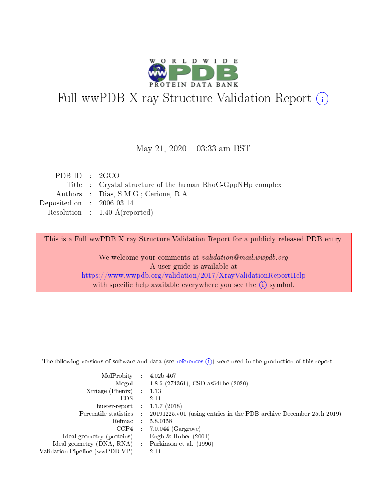

# Full wwPDB X-ray Structure Validation Report (i)

#### May 21,  $2020 - 03:33$  am BST

| PDBID : 2GCO                |                                                            |
|-----------------------------|------------------------------------------------------------|
|                             | Title : Crystal structure of the human RhoC-GppNHp complex |
|                             | Authors : Dias, S.M.G.; Cerione, R.A.                      |
| Deposited on : $2006-03-14$ |                                                            |
|                             | Resolution : $1.40 \text{ Å}$ (reported)                   |

This is a Full wwPDB X-ray Structure Validation Report for a publicly released PDB entry.

We welcome your comments at validation@mail.wwpdb.org A user guide is available at <https://www.wwpdb.org/validation/2017/XrayValidationReportHelp> with specific help available everywhere you see the  $(i)$  symbol.

The following versions of software and data (see [references](https://www.wwpdb.org/validation/2017/XrayValidationReportHelp#references)  $(1)$ ) were used in the production of this report:

| MolProbity :                   |               | $4.02b - 467$                                                                |
|--------------------------------|---------------|------------------------------------------------------------------------------|
|                                |               | Mogul : 1.8.5 (274361), CSD as 541be (2020)                                  |
| $X$ triage (Phenix) :          |               | 1.13                                                                         |
| EDS.                           |               | 2.11                                                                         |
| buster-report : $1.1.7$ (2018) |               |                                                                              |
| Percentile statistics :        |               | $20191225 \text{ v}01$ (using entries in the PDB archive December 25th 2019) |
| Refmac :                       |               | 5.8.0158                                                                     |
| $CCP4$ :                       |               | $7.0.044$ (Gargrove)                                                         |
| Ideal geometry (proteins) :    |               | Engh $\&$ Huber (2001)                                                       |
| Ideal geometry (DNA, RNA) :    |               | Parkinson et al. (1996)                                                      |
| Validation Pipeline (wwPDB-VP) | $\mathcal{L}$ | 2.11                                                                         |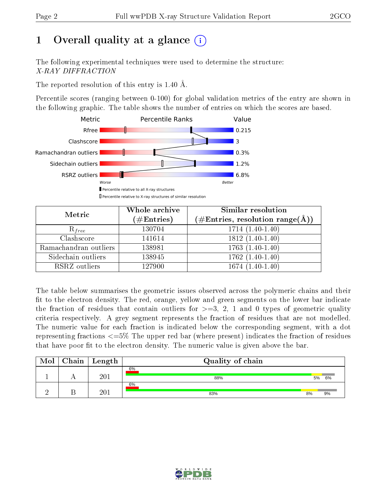# 1 [O](https://www.wwpdb.org/validation/2017/XrayValidationReportHelp#overall_quality)verall quality at a glance  $(i)$

The following experimental techniques were used to determine the structure: X-RAY DIFFRACTION

The reported resolution of this entry is 1.40 Å.

Percentile scores (ranging between 0-100) for global validation metrics of the entry are shown in the following graphic. The table shows the number of entries on which the scores are based.



| Metric                | Whole archive<br>$(\#\mathrm{Entries})$ | <b>Similar resolution</b><br>$(\#\text{Entries}, \text{resolution range}(\text{\AA}))$ |
|-----------------------|-----------------------------------------|----------------------------------------------------------------------------------------|
| $R_{free}$            | 130704                                  | $1714(1.40-1.40)$                                                                      |
| Clashscore            | 141614                                  | $1812(1.40-1.40)$                                                                      |
| Ramachandran outliers | 138981                                  | $\overline{1763}$ $(1.40-1.40)$                                                        |
| Sidechain outliers    | 138945                                  | $1762(1.40-1.40)$                                                                      |
| RSRZ outliers         | 127900                                  | $1674(1.40-1.40)$                                                                      |

The table below summarises the geometric issues observed across the polymeric chains and their fit to the electron density. The red, orange, yellow and green segments on the lower bar indicate the fraction of residues that contain outliers for  $>=3, 2, 1$  and 0 types of geometric quality criteria respectively. A grey segment represents the fraction of residues that are not modelled. The numeric value for each fraction is indicated below the corresponding segment, with a dot representing fractions  $\epsilon=5\%$  The upper red bar (where present) indicates the fraction of residues that have poor fit to the electron density. The numeric value is given above the bar.

| Mol | Chain | Length           | Quality of chain |    |    |
|-----|-------|------------------|------------------|----|----|
|     |       | 20 <sup>1</sup>  | 6%<br>88%        | 5% | 6% |
|     |       | $20\,\mathrm{1}$ | 6%<br>83%        | 8% | 9% |

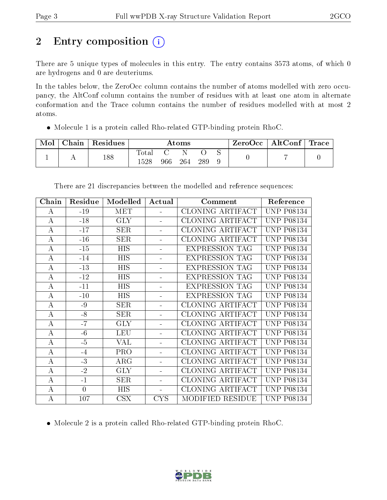# 2 Entry composition (i)

There are 5 unique types of molecules in this entry. The entry contains 3573 atoms, of which 0 are hydrogens and 0 are deuteriums.

In the tables below, the ZeroOcc column contains the number of atoms modelled with zero occupancy, the AltConf column contains the number of residues with at least one atom in alternate conformation and the Trace column contains the number of residues modelled with at most 2 atoms.

Molecule 1 is a protein called Rho-related GTP-binding protein RhoC.

| Mol | Chain | $\perp$ Residues $\perp$ | $\rm\bf Atoms$             |     |     | ZeroOcc   AltConf   Trace |  |  |  |
|-----|-------|--------------------------|----------------------------|-----|-----|---------------------------|--|--|--|
|     |       | 188                      | $_{\rm Total}$<br>$1528\,$ | 966 | 264 | 289                       |  |  |  |

| Chain    | Residue        | Modelled   | Actual         | Comment                 | Reference         |
|----------|----------------|------------|----------------|-------------------------|-------------------|
| A        | $-19$          | <b>MET</b> |                | CLONING ARTIFACT        | <b>UNP P08134</b> |
| A        | $-18$          | <b>GLY</b> |                | CLONING ARTIFACT        | <b>UNP P08134</b> |
| $\bf{A}$ | $-17$          | <b>SER</b> |                | <b>CLONING ARTIFACT</b> | <b>UNP P08134</b> |
| $\bf{A}$ | $-16$          | <b>SER</b> |                | <b>CLONING ARTIFACT</b> | <b>UNP P08134</b> |
| A        | $-15$          | <b>HIS</b> |                | <b>EXPRESSION TAG</b>   | <b>UNP P08134</b> |
| $\bf{A}$ | $-14$          | <b>HIS</b> |                | <b>EXPRESSION TAG</b>   | <b>UNP P08134</b> |
| $\bf{A}$ | $-13$          | <b>HIS</b> |                | <b>EXPRESSION TAG</b>   | <b>UNP P08134</b> |
| $\bf{A}$ | $-12$          | HIS        |                | <b>EXPRESSION TAG</b>   | <b>UNP P08134</b> |
| $\bf{A}$ | $-11$          | <b>HIS</b> |                | <b>EXPRESSION TAG</b>   | <b>UNP P08134</b> |
| $\bf{A}$ | $-10$          | <b>HIS</b> |                | <b>EXPRESSION TAG</b>   | <b>UNP P08134</b> |
| $\bf{A}$ | $-9$           | <b>SER</b> | ÷              | CLONING ARTIFACT        | <b>UNP P08134</b> |
| A        | $-8$           | <b>SER</b> |                | CLONING ARTIFACT        | <b>UNP P08134</b> |
| $\bf{A}$ | $-7$           | <b>GLY</b> |                | <b>CLONING ARTIFACT</b> | <b>UNP P08134</b> |
| $\bf{A}$ | $-6$           | <b>LEU</b> |                | <b>CLONING ARTIFACT</b> | <b>UNP P08134</b> |
| $\bf{A}$ | $-5$           | VAL        |                | CLONING ARTIFACT        | <b>UNP P08134</b> |
| $\bf{A}$ | $-4$           | PRO        |                | <b>CLONING ARTIFACT</b> | <b>UNP P08134</b> |
| $\bf{A}$ | $-3$           | ARG        |                | <b>CLONING ARTIFACT</b> | <b>UNP P08134</b> |
| $\bf{A}$ | $-2$           | <b>GLY</b> |                | CLONING ARTIFACT        | <b>UNP P08134</b> |
| $\bf{A}$ | $-1$           | <b>SER</b> |                | CLONING ARTIFACT        | <b>UNP P08134</b> |
| $\bf{A}$ | $\overline{0}$ | <b>HIS</b> | $\blacksquare$ | <b>CLONING ARTIFACT</b> | <b>UNP P08134</b> |
| $\bf{A}$ | 107            | CSX        | <b>CYS</b>     | MODIFIED RESIDUE        | <b>UNP P08134</b> |

There are 21 discrepancies between the modelled and reference sequences:

Molecule 2 is a protein called Rho-related GTP-binding protein RhoC.

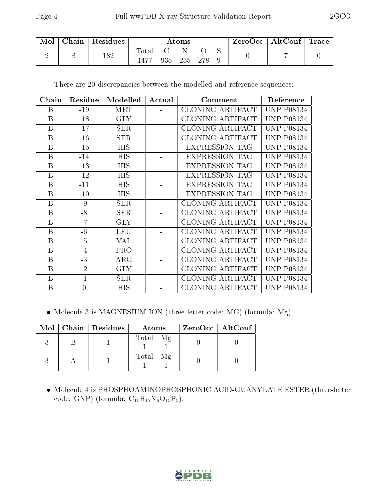| Mol | Chain   $Residues$ | Atoms |     |         | $\text{ZeroOcc} \mid \text{AltConf} \mid \text{Trace}$ |  |  |  |
|-----|--------------------|-------|-----|---------|--------------------------------------------------------|--|--|--|
|     | 182                | Total | 935 | 255 278 |                                                        |  |  |  |

There are 20 discrepancies between the modelled and reference sequences:

| Chain        | Residue        | Modelled   | Actual | Comment                 | Reference         |
|--------------|----------------|------------|--------|-------------------------|-------------------|
| B            | $-19$          | <b>MET</b> |        | CLONING ARTIFACT        | <b>UNP P08134</b> |
| $\mathbf{B}$ | $-18$          | <b>GLY</b> |        | CLONING ARTIFACT        | <b>UNP P08134</b> |
| B            | $-17$          | SER        |        | <b>CLONING ARTIFACT</b> | <b>UNP P08134</b> |
| $\mathbf{B}$ | $-16$          | <b>SER</b> |        | <b>CLONING ARTIFACT</b> | <b>UNP P08134</b> |
| $\mathbf{B}$ | $-15$          | <b>HIS</b> |        | <b>EXPRESSION TAG</b>   | <b>UNP P08134</b> |
| $\mathbf{B}$ | $-14$          | <b>HIS</b> | ÷,     | <b>EXPRESSION TAG</b>   | <b>UNP P08134</b> |
| B            | $-13$          | <b>HIS</b> |        | <b>EXPRESSION TAG</b>   | <b>UNP P08134</b> |
| $\mathbf{B}$ | $-12$          | <b>HIS</b> |        | <b>EXPRESSION TAG</b>   | <b>UNP P08134</b> |
| $\mathbf{B}$ | $-11$          | <b>HIS</b> |        | <b>EXPRESSION TAG</b>   | <b>UNP P08134</b> |
| B            | $-10$          | <b>HIS</b> |        | <b>EXPRESSION TAG</b>   | <b>UNP P08134</b> |
| B            | $-9$           | <b>SER</b> |        | CLONING ARTIFACT        | <b>UNP P08134</b> |
| $\mathbf{B}$ | $-8$           | SER        |        | CLONING ARTIFACT        | <b>UNP P08134</b> |
| $\mathbf{B}$ | $-7$           | <b>GLY</b> |        | <b>CLONING ARTIFACT</b> | <b>UNP P08134</b> |
| $\mathbf{B}$ | $-6$           | <b>LEU</b> |        | CLONING ARTIFACT        | <b>UNP P08134</b> |
| B            | $-5$           | VAL        |        | CLONING ARTIFACT        | <b>UNP P08134</b> |
| $\mathbf{B}$ | $-4$           | <b>PRO</b> |        | CLONING ARTIFACT        | <b>UNP P08134</b> |
| B            | $-3$           | $\rm{ARG}$ |        | <b>CLONING ARTIFACT</b> | <b>UNP P08134</b> |
| $\mathbf{B}$ | $-2$           | <b>GLY</b> |        | <b>CLONING ARTIFACT</b> | <b>UNP P08134</b> |
| B            | $-1$           | <b>SER</b> |        | CLONING ARTIFACT        | <b>UNP P08134</b> |
| B            | $\overline{0}$ | <b>HIS</b> |        | CLONING ARTIFACT        | <b>UNP P08134</b> |

Molecule 3 is MAGNESIUM ION (three-letter code: MG) (formula: Mg).

|  | Mol   Chain   Residues | Atoms    | ZeroOcc   AltConf |
|--|------------------------|----------|-------------------|
|  |                        | Total Mg |                   |
|  |                        | Total Mg |                   |

 Molecule 4 is PHOSPHOAMINOPHOSPHONIC ACID-GUANYLATE ESTER (three-letter code: GNP) (formula:  $C_{10}H_{17}N_6O_{13}P_3$ ).

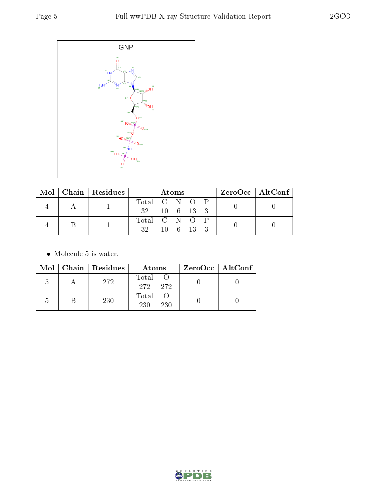

|  | $Mol$   Chain   Residues |                        | Atoms |  | $ZeroOcc \mid AltConf \mid$ |  |
|--|--------------------------|------------------------|-------|--|-----------------------------|--|
|  |                          | Total C N O P          |       |  |                             |  |
|  |                          | $32 \t10 \t6 \t13 \t3$ |       |  |                             |  |
|  |                          | Total C N O P          |       |  |                             |  |
|  |                          | 32 10 6 13 3           |       |  |                             |  |

• Molecule 5 is water.

|            | Mol   Chain   Residues | Atoms               | $ZeroOcc \   \ AltConf \  $ |
|------------|------------------------|---------------------|-----------------------------|
| $\Delta$   | 272                    | Total<br>272 272    |                             |
| $\sqrt{2}$ | 230                    | Total<br>230<br>230 |                             |

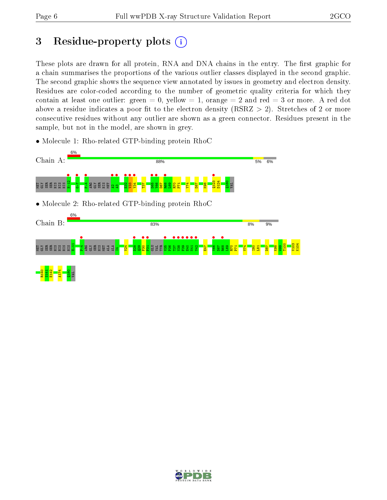# 3 Residue-property plots  $(i)$

These plots are drawn for all protein, RNA and DNA chains in the entry. The first graphic for a chain summarises the proportions of the various outlier classes displayed in the second graphic. The second graphic shows the sequence view annotated by issues in geometry and electron density. Residues are color-coded according to the number of geometric quality criteria for which they contain at least one outlier: green  $= 0$ , yellow  $= 1$ , orange  $= 2$  and red  $= 3$  or more. A red dot above a residue indicates a poor fit to the electron density (RSRZ  $> 2$ ). Stretches of 2 or more consecutive residues without any outlier are shown as a green connector. Residues present in the sample, but not in the model, are shown in grey.

• Molecule 1: Rho-related GTP-binding protein RhoC



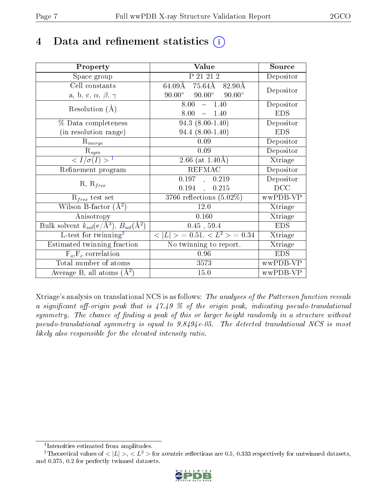# 4 Data and refinement statistics  $(i)$

| Property                                                                 | Value                                             | Source         |
|--------------------------------------------------------------------------|---------------------------------------------------|----------------|
| Space group                                                              | P 21 21 2                                         | Depositor      |
| Cell constants                                                           | 64.09Å 75.64Å 82.90Å                              | Depositor      |
| a, b, c, $\alpha$ , $\beta$ , $\gamma$                                   | $90.00^{\circ}$<br>$90.00^\circ$<br>$90.00^\circ$ |                |
| Resolution $(A)$                                                         | 8.00<br>$-1.40$                                   | Depositor      |
|                                                                          | 8.00<br>$-1.40$                                   | <b>EDS</b>     |
| % Data completeness                                                      | $94.3(8.00-1.40)$                                 | Depositor      |
| (in resolution range)                                                    | $94.4(8.00-1.40)$                                 | <b>EDS</b>     |
| $R_{merge}$                                                              | 0.09                                              | Depositor      |
| $\mathbf{R}_{sym}$                                                       | 0.09                                              | Depositor      |
| $\langle I/\sigma(I) \rangle^{-1}$                                       | 2.66 (at $1.40\text{\AA}$ )                       | Xtriage        |
| Refinement program                                                       | <b>REFMAC</b>                                     | Depositor      |
| $R, R_{free}$                                                            | 0.197, 0.219                                      | Depositor      |
|                                                                          | $0.194$ ,<br>0.215                                | DCC            |
| $R_{free}$ test set                                                      | $3766$ reflections $(5.02\%)$                     | wwPDB-VP       |
| Wilson B-factor $(\AA^2)$                                                | 12.0                                              | Xtriage        |
| Anisotropy                                                               | 0.160                                             | Xtriage        |
| Bulk solvent $k_{sol}(\mathrm{e}/\mathrm{A}^3),$ $B_{sol}(\mathrm{A}^2)$ | $0.45$ , $59.4$                                   | <b>EDS</b>     |
| L-test for twinning <sup>2</sup>                                         | $< L >$ = 0.51, $< L2 >$ = 0.34                   | Xtriage        |
| Estimated twinning fraction                                              | No twinning to report.                            | <b>Xtriage</b> |
| $F_o, F_c$ correlation                                                   | 0.96                                              | <b>EDS</b>     |
| Total number of atoms                                                    | 3573                                              | wwPDB-VP       |
| Average B, all atoms $(A^2)$                                             | 15.0                                              | wwPDB-VP       |

Xtriage's analysis on translational NCS is as follows: The analyses of the Patterson function reveals a significant off-origin peak that is  $47.49\%$  of the origin peak, indicating pseudo-translational symmetry. The chance of finding a peak of this or larger height randomly in a structure without pseudo-translational symmetry is equal to 9.8494e-05. The detected translational NCS is most likely also responsible for the elevated intensity ratio.

<sup>&</sup>lt;sup>2</sup>Theoretical values of  $\langle |L| \rangle$ ,  $\langle L^2 \rangle$  for acentric reflections are 0.5, 0.333 respectively for untwinned datasets, and 0.375, 0.2 for perfectly twinned datasets.



<span id="page-6-1"></span><span id="page-6-0"></span><sup>1</sup> Intensities estimated from amplitudes.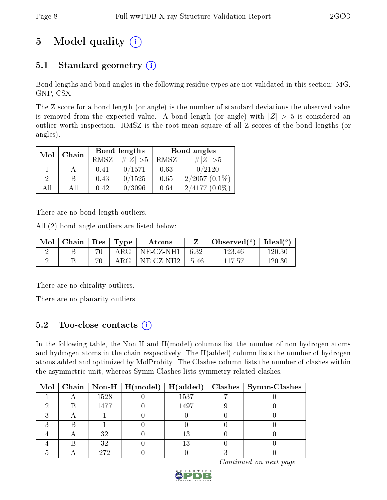# 5 Model quality  $(i)$

## 5.1 Standard geometry  $(i)$

Bond lengths and bond angles in the following residue types are not validated in this section: MG, GNP, CSX

The Z score for a bond length (or angle) is the number of standard deviations the observed value is removed from the expected value. A bond length (or angle) with  $|Z| > 5$  is considered an outlier worth inspection. RMSZ is the root-mean-square of all Z scores of the bond lengths (or angles).

|    | Mol<br>Chain |             | Bond lengths | Bond angles |                     |  |
|----|--------------|-------------|--------------|-------------|---------------------|--|
|    |              | <b>RMSZ</b> | $\# Z  > 5$  | RMSZ        | $\ Z\  > 5$         |  |
|    |              | 0.41        | 0/1571       | 0.63        | 0/2120              |  |
| 9  | R            | 0.43        | 0/1525       | 0.65        | $2/2057(0.1\%)$     |  |
| ΑH | АH           | 0.42        | 0/3096       | 0.64        | 2/4177<br>$(0.0\%)$ |  |

There are no bond length outliers.

All (2) bond angle outliers are listed below:

| Mol | $\vert$ Chain $\vert$ Res $\vert$ Type |            | Atoms        |         | Observed $(^\circ)$ | Ideal( $^{\circ}$ ) |
|-----|----------------------------------------|------------|--------------|---------|---------------------|---------------------|
|     |                                        | $\rm{ARG}$ | $NE- CZ-NH1$ | $+6.32$ | 123.46              | 120.30              |
|     |                                        | $\rm{ARG}$ | $NE- CZ-NH2$ | . -5.46 | 117.57              | 120.30              |

There are no chirality outliers.

There are no planarity outliers.

### 5.2 Too-close contacts  $\overline{a}$

In the following table, the Non-H and H(model) columns list the number of non-hydrogen atoms and hydrogen atoms in the chain respectively. The H(added) column lists the number of hydrogen atoms added and optimized by MolProbity. The Clashes column lists the number of clashes within the asymmetric unit, whereas Symm-Clashes lists symmetry related clashes.

|  |      | Mol   Chain   Non-H   H(model)   H(added) |      | $\text{Classes} \mid \text{Symm-Class}$ |
|--|------|-------------------------------------------|------|-----------------------------------------|
|  | 1528 |                                           | 1537 |                                         |
|  | 1477 |                                           | 1497 |                                         |
|  |      |                                           |      |                                         |
|  |      |                                           |      |                                         |
|  | 32   |                                           | 13   |                                         |
|  | 32   |                                           | 13   |                                         |
|  | 272  |                                           |      |                                         |

Continued on next page...

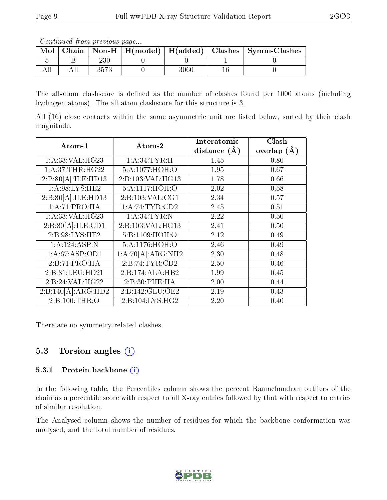Continued from previous page...

| Mol |  |      | Chain   Non-H   H(model)   H(added)   Clashes   Symm-Clashes |
|-----|--|------|--------------------------------------------------------------|
|     |  |      |                                                              |
|     |  | 3060 |                                                              |

The all-atom clashscore is defined as the number of clashes found per 1000 atoms (including hydrogen atoms). The all-atom clashscore for this structure is 3.

All (16) close contacts within the same asymmetric unit are listed below, sorted by their clash magnitude.

| Atom-1              | Atom-2                       | Interatomic    | Clash         |
|---------------------|------------------------------|----------------|---------------|
|                     |                              | distance $(A)$ | overlap $(A)$ |
| 1:A:33:VAL:HG23     | 1: A:34:TYR:H                | 1.45           | 0.80          |
| 1:A:37:THR:HG22     | 5:A:1077:HOH:O               | 1.95           | 0.67          |
| 2:B:80[A]:ILE:HD13  | 2:B:103:VAL:HG13             | 1.78           | 0.66          |
| 1: A:98: LYS: HE2   | 5:A:1117:HOH:O               | 2.02           | 0.58          |
| 2:B:80[A]:ILE:HD13  | 2: B: 103: VAL: CG1          | 2.34           | 0.57          |
| 1:A:71:PRO:HA       | 1: A:74:TYR:CD2              | 2.45           | 0.51          |
| 1:A:33:VAL:HG23     | 1: A:34: TYR:N               | 2.22           | 0.50          |
| 2: B:80[A]: ILE:CD1 | 2:B:103:VAL:HG13             | 2.41           | 0.50          |
| 2:B:98:LYS:HE2      | 5:B:1109:HOH:O               | 2.12           | 0.49          |
| 1:A:124:ASP:N       | 5:A:1176:HOH:O               | 2.46           | 0.49          |
| 1:A:67:ASP:OD1      | 1:A:70[A]:ARG:NH2            | 2.30           | 0.48          |
| 2:B:71:PRO:HA       | 2: B:74: TYR:CD2             | 2.50           | 0.46          |
| 2:B:81:LEU:HD21     | 2:B:174:ALA:HB2              | 1.99           | 0.45          |
| 2:B:24:VAL:H G22    | 2:B:30:PHE:HA                | 2.00           | 0.44          |
| 2:B:140[A]:ARG:HD2  | $2:B:142:GLU:O\overline{E2}$ | 2.19           | 0.43          |
| 2: B:100: THR:O     | 2: B: 104: LYS: HG2          | 2.20           | 0.40          |

There are no symmetry-related clashes.

### 5.3 Torsion angles  $(i)$

#### 5.3.1 Protein backbone (i)

In the following table, the Percentiles column shows the percent Ramachandran outliers of the chain as a percentile score with respect to all X-ray entries followed by that with respect to entries of similar resolution.

The Analysed column shows the number of residues for which the backbone conformation was analysed, and the total number of residues.

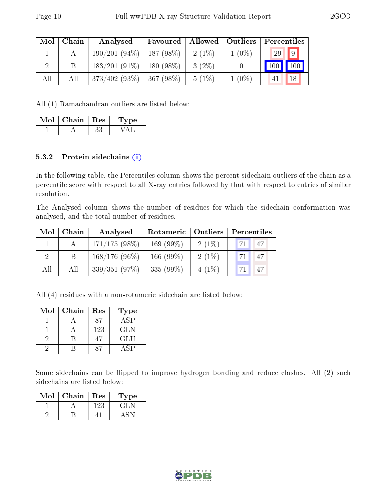| Mol | Chain | Analysed        | Favoured    | Allowed   Outliers |          | Percentiles |  |
|-----|-------|-----------------|-------------|--------------------|----------|-------------|--|
|     |       | 190/201(94%)    | $187(98\%)$ | $2(1\%)$           | $1(0\%)$ | 9 <br>29    |  |
|     | В     | $183/201(91\%)$ | $180(98\%)$ | $3(2\%)$           |          | 100<br>100  |  |
| All | All   | $373/402(93\%)$ | $367(98\%)$ | $5(1\%)$           | $1(0\%)$ | 18          |  |

All (1) Ramachandran outliers are listed below:

| $Mol$   Chain   Res | 'Type |
|---------------------|-------|
|                     |       |

#### 5.3.2 Protein sidechains  $(i)$

In the following table, the Percentiles column shows the percent sidechain outliers of the chain as a percentile score with respect to all X-ray entries followed by that with respect to entries of similar resolution.

The Analysed column shows the number of residues for which the sidechain conformation was analysed, and the total number of residues.

| Mol | Chain | Analysed        | Rotameric   Outliers |          | Percentiles |  |  |
|-----|-------|-----------------|----------------------|----------|-------------|--|--|
|     |       | $171/175(98\%)$ | 169 $(99\%)$         | $2(1\%)$ | 47<br>71    |  |  |
| っ   |       | $168/176(96\%)$ | 166 $(99\%)$         | $2(1\%)$ | 47<br>"71.  |  |  |
| All | All   | 339/351(97%)    | 335 $(99\%)$         | $4(1\%)$ | 47          |  |  |

All (4) residues with a non-rotameric sidechain are listed below:

| Mol | Chain | Res | Type        |
|-----|-------|-----|-------------|
|     |       |     | ASP         |
|     |       | 123 | <b>GLN</b>  |
|     |       |     | GLU         |
|     |       |     | $AS\bar{P}$ |

Some sidechains can be flipped to improve hydrogen bonding and reduce clashes. All (2) such sidechains are listed below:

| Mol | Chain | Res | 1 ype   |
|-----|-------|-----|---------|
|     |       | 123 | ا طلب ا |
|     |       |     |         |

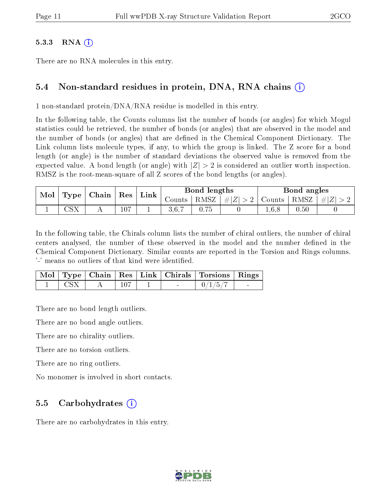#### $5.3.3$  RNA  $(i)$

There are no RNA molecules in this entry.

#### 5.4 Non-standard residues in protein, DNA, RNA chains (i)

1 non-standard protein/DNA/RNA residue is modelled in this entry.

In the following table, the Counts columns list the number of bonds (or angles) for which Mogul statistics could be retrieved, the number of bonds (or angles) that are observed in the model and the number of bonds (or angles) that are defined in the Chemical Component Dictionary. The Link column lists molecule types, if any, to which the group is linked. The Z score for a bond length (or angle) is the number of standard deviations the observed value is removed from the expected value. A bond length (or angle) with  $|Z| > 2$  is considered an outlier worth inspection. RMSZ is the root-mean-square of all Z scores of the bond lengths (or angles).

| $\perp$ Type $\parallel$ Chain $\parallel$ Res<br>Mol |                       |  |     | Link |        | Bond lengths |             |               | Bond angles |                |
|-------------------------------------------------------|-----------------------|--|-----|------|--------|--------------|-------------|---------------|-------------|----------------|
|                                                       |                       |  |     |      | Counts | RMSZ         | $\# Z  > 2$ | Counts   RMSZ |             | $\vert \#  Z $ |
|                                                       | $\cap$ $\circ$ $\vee$ |  | 107 |      |        | 75           |             | 1,6,8         | 0.50        |                |

In the following table, the Chirals column lists the number of chiral outliers, the number of chiral centers analysed, the number of these observed in the model and the number defined in the Chemical Component Dictionary. Similar counts are reported in the Torsion and Rings columns. '-' means no outliers of that kind were identified.

|  |  |        | Mol   Type   Chain   Res   Link   Chirals   Torsions   Rings |  |
|--|--|--------|--------------------------------------------------------------|--|
|  |  | $\sim$ | 0/1/5                                                        |  |

There are no bond length outliers.

There are no bond angle outliers.

There are no chirality outliers.

There are no torsion outliers.

There are no ring outliers.

No monomer is involved in short contacts.

#### 5.5 Carbohydrates (i)

There are no carbohydrates in this entry.

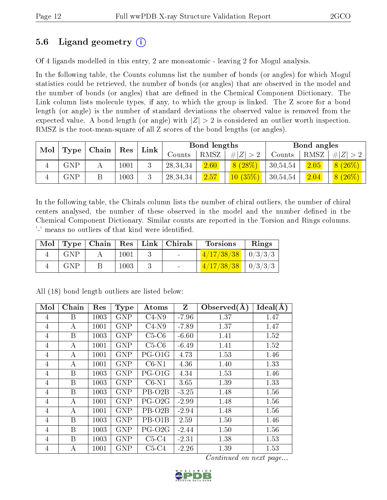### 5.6 Ligand geometry (i)

Of 4 ligands modelled in this entry, 2 are monoatomic - leaving 2 for Mogul analysis.

In the following table, the Counts columns list the number of bonds (or angles) for which Mogul statistics could be retrieved, the number of bonds (or angles) that are observed in the model and the number of bonds (or angles) that are dened in the Chemical Component Dictionary. The Link column lists molecule types, if any, to which the group is linked. The Z score for a bond length (or angle) is the number of standard deviations the observed value is removed from the expected value. A bond length (or angle) with  $|Z| > 2$  is considered an outlier worth inspection. RMSZ is the root-mean-square of all Z scores of the bond lengths (or angles).

| Mol |                   | Chain | Res      | Link | Bond lengths |      |             | Bond angles |      |           |
|-----|-------------------|-------|----------|------|--------------|------|-------------|-------------|------|-----------|
|     | $\mid {\rm Type}$ |       |          |      | Counts       | RMSZ | Z  > 2<br># | Counts      | RMSZ | $\# Z >$  |
|     | ${\rm GNP}$       |       | $1001\,$ |      | 28, 34, 34   | 2.60 | 8(28%)      | 30,54,54    | 2.05 | $8(26\%)$ |
|     | GNP               |       | $1003\,$ |      | 28, 34, 34   | 2.57 | $10(35\%)$  | 30,54,54    | 2.04 | $8(26\%)$ |

In the following table, the Chirals column lists the number of chiral outliers, the number of chiral centers analysed, the number of these observed in the model and the number defined in the Chemical Component Dictionary. Similar counts are reported in the Torsion and Rings columns. '-' means no outliers of that kind were identified.

|            |      | Mol   Type   Chain   Res   Link   Chirals | <b>Torsions</b>          | Rings |
|------------|------|-------------------------------------------|--------------------------|-------|
| <b>GNP</b> | 1001 | <b>Contract Contract</b>                  | $1/17/38/38$   $0/3/3/3$ |       |
| GNP        | 1003 |                                           | $1/17/38/38$   $0/3/3/3$ |       |

| Mol            | Chain | Res  | <b>Type</b> | Atoms               | $\mathbf{Z}$ | Observed $(A)$ | Ideal(A) |
|----------------|-------|------|-------------|---------------------|--------------|----------------|----------|
| 4              | B     | 1003 | <b>GNP</b>  | $C4-N9$             | $-7.96$      | 1.37           | 1.47     |
| 4              | А     | 1001 | <b>GNP</b>  | $C4-N9$             | $-7.89$      | 1.37           | 1.47     |
| 4              | B     | 1003 | <b>GNP</b>  | $C5-C6$             | $-6.60$      | 1.41           | 1.52     |
| $\overline{4}$ | А     | 1001 | <b>GNP</b>  | $C5-C6$             | $-6.49$      | 1.41           | 1.52     |
| 4              | А     | 1001 | <b>GNP</b>  | PG-O1G              | 4.73         | 1.53           | 1.46     |
| 4              | А     | 1001 | <b>GNP</b>  | $C6-N1$             | 4.36         | 1.40           | 1.33     |
| 4              | B     | 1003 | <b>GNP</b>  | PG-O1G              | 4.34         | 1.53           | 1.46     |
| 4              | B     | 1003 | <b>GNP</b>  | $C6-N1$             | 3.65         | 1.39           | 1.33     |
| 4              | B     | 1003 | <b>GNP</b>  | PB-O <sub>2</sub> B | $-3.25$      | 1.48           | 1.56     |
| $\overline{4}$ | А     | 1001 | <b>GNP</b>  | PG-O <sub>2</sub> G | $-2.99$      | 1.48           | 1.56     |
| 4              | А     | 1001 | <b>GNP</b>  | PB-O <sub>2</sub> B | $-2.94$      | 1.48           | 1.56     |
| 4              | B     | 1003 | <b>GNP</b>  | PB-O1B              | 2.59         | 1.50           | 1.46     |
| 4              | B     | 1003 | <b>GNP</b>  | PG-O <sub>2</sub> G | $-2.44$      | 1.50           | 1.56     |
| 4              | B     | 1003 | <b>GNP</b>  | $C5-C4$             | $-2.31$      | 1.38           | 1.53     |
| $\overline{4}$ | А     | 1001 | <b>GNP</b>  | $C5-C4$             | $-2.26$      | 1.39           | 1.53     |

All (18) bond length outliers are listed below:

Continued on next page...

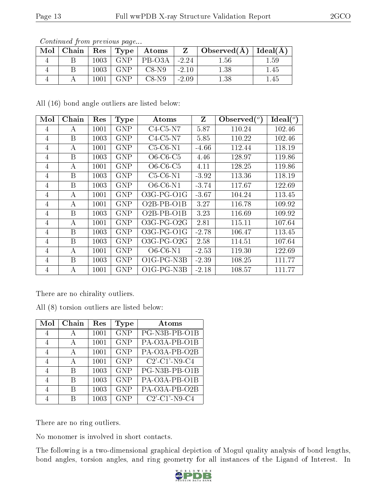| Mol | Chain | Res  | $\vert$ Type $\vert$ | Atoms   |         | Observed(A) | Ideal $(A)$ |
|-----|-------|------|----------------------|---------|---------|-------------|-------------|
|     |       | 1003 | <b>GNP</b>           | PB-O3A  | $-2.24$ | $1.56\,$    | $1.59\,$    |
|     |       | 1003 | <b>GNP</b>           | $C8-N9$ | $-2.10$ | $1.38\,$    | 1.45        |
|     |       | 1001 | CNP                  | $C8-N9$ | $-2.09$ | $1.38\,$    | .45         |

Continued from previous page...

All (16) bond angle outliers are listed below:

| Mol            | Chain | Res  | Type       | $\rm{Atoms}$       | Z       | Observed $(°)$ | Ideal $(^\circ)$ |
|----------------|-------|------|------------|--------------------|---------|----------------|------------------|
| 4              | А     | 1001 | GNP        | $C4-C5-N7$         | 5.87    | 110.24         | 102.46           |
| 4              | B     | 1003 | <b>GNP</b> | $C4-C5-N7$         | 5.85    | 110.22         | 102.46           |
| $\overline{4}$ | A     | 1001 | <b>GNP</b> | $C5-C6-N1$         | $-4.66$ | 112.44         | 118.19           |
| 4              | B     | 1003 | <b>GNP</b> | $O6$ -C6-C5        | 4.46    | 128.97         | 119.86           |
| 4              | А     | 1001 | <b>GNP</b> | $O6$ -C6-C5        | 4.11    | 128.25         | 119.86           |
| 4              | B     | 1003 | <b>GNP</b> | $C5-C6-N1$         | $-3.92$ | 113.36         | 118.19           |
| 4              | B     | 1003 | <b>GNP</b> | $O6$ - $C6$ - $N1$ | $-3.74$ | 117.67         | 122.69           |
| 4              | А     | 1001 | <b>GNP</b> | $O3G-PG-O1G$       | $-3.67$ | 104.24         | 113.45           |
| 4              | А     | 1001 | <b>GNP</b> | $O2B$ -PB- $O1B$   | 3.27    | 116.78         | 109.92           |
| 4              | B     | 1003 | <b>GNP</b> | $O2B-PB-O1B$       | 3.23    | 116.69         | 109.92           |
| $\overline{4}$ | А     | 1001 | <b>GNP</b> | $O3G$ -PG- $O2G$   | 2.81    | 115.11         | 107.64           |
| 4              | Β     | 1003 | <b>GNP</b> | $O3G-PG-O1G$       | $-2.78$ | 106.47         | 113.45           |
| 4              | B     | 1003 | <b>GNP</b> | $O3G-PG-O2G$       | 2.58    | 114.51         | 107.64           |
| 4              | А     | 1001 | <b>GNP</b> | O6-C6-N1           | $-2.53$ | 119.30         | 122.69           |
| 4              | B     | 1003 | <b>GNP</b> | $O1G-PG-N3B$       | $-2.39$ | 108.25         | 111.77           |
| 4              | А     | 1001 | GNP        | $O1G$ -PG-N3B      | $-2.18$ | 108.57         | 111.77           |

There are no chirality outliers.

All (8) torsion outliers are listed below:

| Mol            | Chain | Res  | Type       | Atoms                                           |
|----------------|-------|------|------------|-------------------------------------------------|
| 4              | А     | 1001 | <b>GNP</b> | $\overline{PG-N3B-PB-O1B}$                      |
| 4              | А     | 1001 | <b>GNP</b> | PA-O3A-PB-O1B                                   |
| 4              | А     | 1001 | <b>GNP</b> | PA-O3A-PB-O2B                                   |
| 4              | А     | 1001 | <b>GNP</b> | $C2$ <sup>-</sup> $C1$ <sup>-</sup> $N9$ - $C4$ |
| $\overline{4}$ | R     | 1003 | <b>GNP</b> | PG-N3B-PB-O1B                                   |
| 4              | R     | 1003 | <b>GNP</b> | PA-O3A-PB-O1B                                   |
| $\overline{4}$ | В     | 1003 | <b>GNP</b> | PA-O3A-PB-O2B                                   |
|                |       | 1003 | <b>GNP</b> | $C2$ <sup>-</sup> $C1$ <sup>-</sup> $N9$ - $C4$ |

There are no ring outliers.

No monomer is involved in short contacts.

The following is a two-dimensional graphical depiction of Mogul quality analysis of bond lengths, bond angles, torsion angles, and ring geometry for all instances of the Ligand of Interest. In

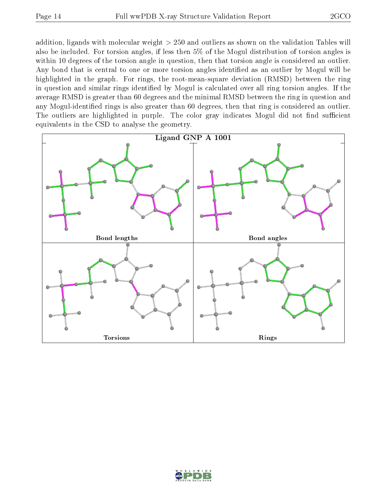addition, ligands with molecular weight > 250 and outliers as shown on the validation Tables will also be included. For torsion angles, if less then 5% of the Mogul distribution of torsion angles is within 10 degrees of the torsion angle in question, then that torsion angle is considered an outlier. Any bond that is central to one or more torsion angles identified as an outlier by Mogul will be highlighted in the graph. For rings, the root-mean-square deviation (RMSD) between the ring in question and similar rings identified by Mogul is calculated over all ring torsion angles. If the average RMSD is greater than 60 degrees and the minimal RMSD between the ring in question and any Mogul-identied rings is also greater than 60 degrees, then that ring is considered an outlier. The outliers are highlighted in purple. The color gray indicates Mogul did not find sufficient equivalents in the CSD to analyse the geometry.



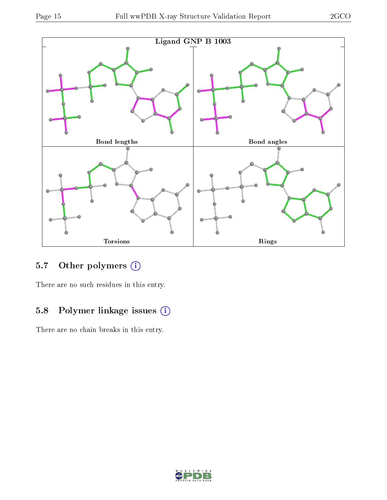

## 5.7 [O](https://www.wwpdb.org/validation/2017/XrayValidationReportHelp#nonstandard_residues_and_ligands)ther polymers (i)

There are no such residues in this entry.

## 5.8 Polymer linkage issues (i)

There are no chain breaks in this entry.

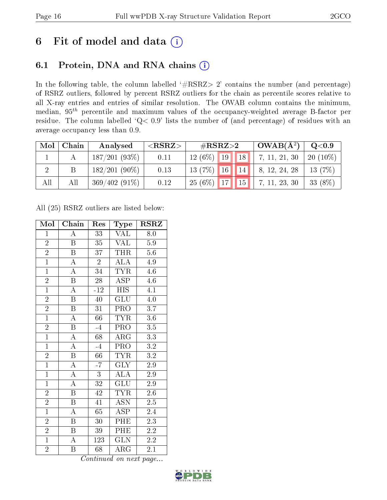# 6 Fit of model and data  $(i)$

## 6.1 Protein, DNA and RNA chains  $(i)$

In the following table, the column labelled  $#RSRZ> 2'$  contains the number (and percentage) of RSRZ outliers, followed by percent RSRZ outliers for the chain as percentile scores relative to all X-ray entries and entries of similar resolution. The OWAB column contains the minimum, median,  $95<sup>th</sup>$  percentile and maximum values of the occupancy-weighted average B-factor per residue. The column labelled ' $Q< 0.9$ ' lists the number of (and percentage) of residues with an average occupancy less than 0.9.

| Mol | Chain | Analysed        | ${ <\hspace{-1.5pt}{\mathrm{RSRZ}} \hspace{-1.5pt}>}$ | $\#\text{RSRZ}\text{>2}$ |    | $OWAB(A^2)$ | Q <sub>0.9</sub> |            |
|-----|-------|-----------------|-------------------------------------------------------|--------------------------|----|-------------|------------------|------------|
|     |       | $187/201(93\%)$ | 0.11                                                  | $12(6\%)$                | 19 | 18          | 7, 11, 21, 30    | $20(10\%)$ |
|     |       | $182/201(90\%)$ | 0.13                                                  | $13(7\%)$                | 16 | 14          | 8, 12, 24, 28    | 13 $(7%)$  |
| All | All   | $369/402(91\%)$ | 0.12                                                  | 25(6%)                   | 17 | $\vert$ 15  | 7, 11, 23, 30    | 33 (8%)    |

All (25) RSRZ outliers are listed below:

| Mol            | Chain                   | Res             | Type                      | <b>RSRZ</b>      |
|----------------|-------------------------|-----------------|---------------------------|------------------|
| $\mathbf{1}$   | $\overline{\rm A}$      | 33              | VAL                       | 8.0              |
| $\overline{2}$ | $\, {\bf B}$            | 35              | <b>VAL</b>                | $5.9\,$          |
| $\overline{2}$ | $\overline{\mathrm{B}}$ | 37              | <b>THR</b>                | $\overline{5.6}$ |
| $\overline{1}$ | $\overline{\rm A}$      | $\overline{2}$  | ALA                       | 4.9              |
| $\overline{1}$ | $\overline{\rm A}$      | 34              | <b>TYR</b>                | $4.\overline{6}$ |
| $\overline{2}$ | $\overline{\mathrm{B}}$ | 28              | <b>ASP</b>                | 4.6              |
| $\overline{1}$ | $\overline{\rm A}$      | $-12$           | <b>HIS</b>                | 4.1              |
| $\overline{2}$ | $\overline{\mathbf{B}}$ | 40              | GLU                       | $4.\overline{0}$ |
| $\overline{2}$ | $\overline{\mathrm{B}}$ | $\overline{31}$ | PRO                       | 3.7              |
| $\overline{1}$ | $\overline{\rm A}$      | $66\,$          | <b>TYR</b>                | $\overline{3.6}$ |
| $\overline{2}$ | $\overline{\mathrm{B}}$ | $-4$            | PRO                       | 3.5              |
| $\overline{1}$ | $\overline{A}$          | $\overline{68}$ | $\overline{\rm{ARG}}$     | $\overline{3.3}$ |
| $\overline{1}$ | $\overline{\rm A}$      | $-4$            | PRO                       | 3.2              |
| $\overline{2}$ | $\overline{\mathrm{B}}$ | $66\,$          | <b>TYR</b>                | $\!3.2\!$        |
| $\overline{1}$ | $\overline{A}$          | $-7$            | $\overline{\text{GLY}}$   | $\overline{2.9}$ |
| $\mathbf{1}$   | $\overline{\rm A}$      | $\overline{3}$  | $\overline{\text{ALA}}$   | $2.9\,$          |
| $\overline{1}$ | $\overline{\rm A}$      | $\overline{32}$ | $\overline{\mathrm{GLU}}$ | $\overline{2.9}$ |
| $\overline{2}$ | $\boldsymbol{B}$        | 42              | TYR                       | $2.6\,$          |
| $\frac{2}{1}$  | $\boldsymbol{B}$        | 41              | $\overline{ASN}$          | $2.5\,$          |
|                | $\overline{\rm A}$      | $6\overline{5}$ | $\overline{\text{ASP}}$   | 2.4              |
| $\overline{2}$ | $\overline{B}$          | 30              | PHE                       | 2.3              |
| $\overline{2}$ | $\boldsymbol{B}$        | 39              | PHE                       | $2.\overline{2}$ |
| $\overline{1}$ | $\overline{\rm A}$      | 123             | <b>GLN</b>                | $2.\overline{2}$ |
| $\overline{2}$ | B                       | 68              | $\rm{\overline{A}RG}$     | 2.1              |

Continued on next page...

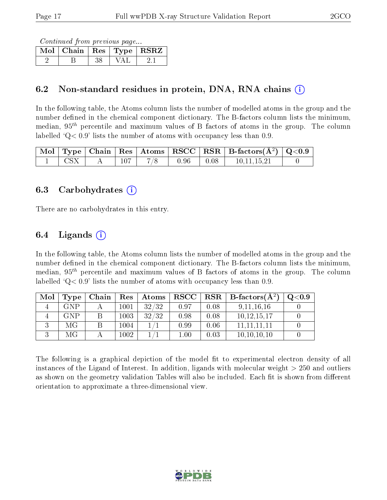Continued from previous page...

| $Mol$   Chain   Res   Type   RSRZ |  |  |
|-----------------------------------|--|--|
|                                   |  |  |

### 6.2 Non-standard residues in protein, DNA, RNA chains (i)

In the following table, the Atoms column lists the number of modelled atoms in the group and the number defined in the chemical component dictionary. The B-factors column lists the minimum, median,  $95<sup>th</sup>$  percentile and maximum values of B factors of atoms in the group. The column labelled  $Q< 0.9$  lists the number of atoms with occupancy less than 0.9.

|  |  |      |      | $\mid$ Mol $\mid$ Type $\mid$ Chain $\mid$ Res $\mid$ Atoms $\mid$ RSCC $\mid$ RSR $\mid$ B-factors(A <sup>2</sup> ) $\mid$ Q<0.9 |  |
|--|--|------|------|-----------------------------------------------------------------------------------------------------------------------------------|--|
|  |  | 0.96 | 0.08 | 10.11.15.21                                                                                                                       |  |

#### 6.3 Carbohydrates (i)

There are no carbohydrates in this entry.

### 6.4 Ligands  $(i)$

In the following table, the Atoms column lists the number of modelled atoms in the group and the number defined in the chemical component dictionary. The B-factors column lists the minimum, median,  $95<sup>th</sup>$  percentile and maximum values of B factors of atoms in the group. The column labelled  $Q < 0.9$ ' lists the number of atoms with occupancy less than 0.9.

| Mol | Type       | Chain | Res      | Atoms | $\bf RSCC$ |      | $\mid$ RSR $\mid$ B-factors( $A^2$ ) | Q <sub>0.9</sub> |
|-----|------------|-------|----------|-------|------------|------|--------------------------------------|------------------|
|     | <b>GNP</b> |       | $1001\,$ | 32/32 | 0.97       | 0.08 | 9, 11, 16, 16                        |                  |
|     | <b>GNP</b> |       | 1003     | 32/32 | 0.98       | 0.08 | 10, 12, 15, 17                       |                  |
|     | МG         |       | 1004     |       | 0.99       | 0.06 | 11, 11, 11, 11                       |                  |
|     | МG         |       | 002      |       | $1.00\,$   | 0.03 | 10, 10, 10, 10                       |                  |

The following is a graphical depiction of the model fit to experimental electron density of all instances of the Ligand of Interest. In addition, ligands with molecular weight  $> 250$  and outliers as shown on the geometry validation Tables will also be included. Each fit is shown from different orientation to approximate a three-dimensional view.

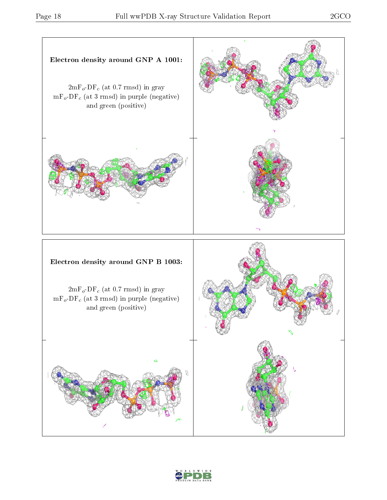